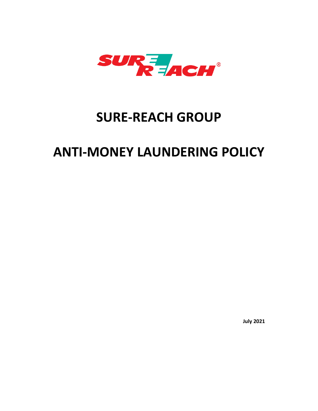

## **SURE-REACH GROUP**

# **ANTI-MONEY LAUNDERING POLICY**

**July 2021**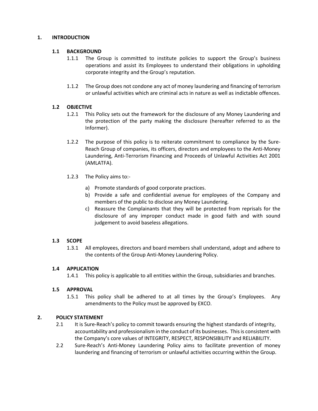#### **1. INTRODUCTION**

### **1.1 BACKGROUND**

- 1.1.1 The Group is committed to institute policies to support the Group's business operations and assist its Employees to understand their obligations in upholding corporate integrity and the Group's reputation.
- 1.1.2 The Group does not condone any act of money laundering and financing of terrorism or unlawful activities which are criminal acts in nature as well as indictable offences.

### **1.2 OBJECTIVE**

- 1.2.1 This Policy sets out the framework for the disclosure of any Money Laundering and the protection of the party making the disclosure (hereafter referred to as the Informer).
- 1.2.2 The purpose of this policy is to reiterate commitment to compliance by the Sure-Reach Group of companies, its officers, directors and employees to the Anti-Money Laundering, Anti-Terrorism Financing and Proceeds of Unlawful Activities Act 2001 (AMLATFA).
- 1.2.3 The Policy aims to:
	- a) Promote standards of good corporate practices.
	- b) Provide a safe and confidential avenue for employees of the Company and members of the public to disclose any Money Laundering.
	- c) Reassure the Complainants that they will be protected from reprisals for the disclosure of any improper conduct made in good faith and with sound judgement to avoid baseless allegations.

#### **1.3 SCOPE**

1.3.1 All employees, directors and board members shall understand, adopt and adhere to the contents of the Group Anti-Money Laundering Policy.

#### **1.4 APPLICATION**

1.4.1 This policy is applicable to all entities within the Group, subsidiaries and branches.

#### **1.5 APPROVAL**

1.5.1 This policy shall be adhered to at all times by the Group's Employees. Any amendments to the Policy must be approved by EXCO.

#### **2. POLICY STATEMENT**

- 2.1 It is Sure-Reach's policy to commit towards ensuring the highest standards of integrity, accountability and professionalism in the conduct of its businesses. This is consistent with the Company's core values of INTEGRITY, RESPECT, RESPONSIBILITY and RELIABILITY.
- 2.2 Sure-Reach's Anti-Money Laundering Policy aims to facilitate prevention of money laundering and financing of terrorism or unlawful activities occurring within the Group.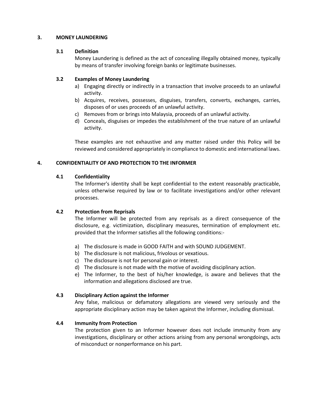#### **3. MONEY LAUNDERING**

#### **3.1 Definition**

Money Laundering is defined as the act of concealing illegally obtained money, typically by means of transfer involving foreign banks or legitimate businesses.

#### **3.2 Examples of Money Laundering**

- a) Engaging directly or indirectly in a transaction that involve proceeds to an unlawful activity.
- b) Acquires, receives, possesses, disguises, transfers, converts, exchanges, carries, disposes of or uses proceeds of an unlawful activity.
- c) Removes from or brings into Malaysia, proceeds of an unlawful activity.
- d) Conceals, disguises or impedes the establishment of the true nature of an unlawful activity.

These examples are not exhaustive and any matter raised under this Policy will be reviewed and considered appropriately in compliance to domestic and international laws.

#### **4. CONFIDENTIALITY OF AND PROTECTION TO THE INFORMER**

#### **4.1 Confidentiality**

The Informer's identity shall be kept confidential to the extent reasonably practicable, unless otherwise required by law or to facilitate investigations and/or other relevant processes.

#### **4.2 Protection from Reprisals**

The Informer will be protected from any reprisals as a direct consequence of the disclosure, e.g. victimization, disciplinary measures, termination of employment etc. provided that the Informer satisfies all the following conditions:-

- a) The disclosure is made in GOOD FAITH and with SOUND JUDGEMENT.
- b) The disclosure is not malicious, frivolous or vexatious.
- c) The disclosure is not for personal gain or interest.
- d) The disclosure is not made with the motive of avoiding disciplinary action.
- e) The Informer, to the best of his/her knowledge, is aware and believes that the information and allegations disclosed are true.

#### **4.3 Disciplinary Action against the Informer**

Any false, malicious or defamatory allegations are viewed very seriously and the appropriate disciplinary action may be taken against the Informer, including dismissal.

#### **4.4 Immunity from Protection**

The protection given to an Informer however does not include immunity from any investigations, disciplinary or other actions arising from any personal wrongdoings, acts of misconduct or nonperformance on his part.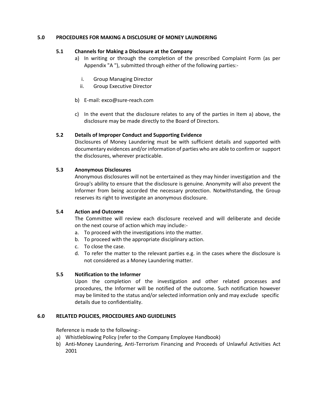#### **5.0 PROCEDURES FOR MAKING A DISCLOSURE OF MONEY LAUNDERING**

#### **5.1 Channels for Making a Disclosure at the Company**

- a) In writing or through the completion of the prescribed Complaint Form (as per Appendix "A "), submitted through either of the following parties:
	- i. Group Managing Director
	- ii. Group Executive Director
- b) E-mail: exco@sure-reach.com
- c) In the event that the disclosure relates to any of the parties in Item a) above, the disclosure may be made directly to the Board of Directors.

### **5.2 Details of Improper Conduct and Supporting Evidence**

Disclosures of Money Laundering must be with sufficient details and supported with documentary evidences and/or information of parties who are able to confirm or support the disclosures, wherever practicable.

### **5.3 Anonymous Disclosures**

Anonymous disclosures will not be entertained as they may hinder investigation and the Group's ability to ensure that the disclosure is genuine. Anonymity will also prevent the Informer from being accorded the necessary protection. Notwithstanding, the Group reserves its right to investigate an anonymous disclosure.

#### **5.4 Action and Outcome**

The Committee will review each disclosure received and will deliberate and decide on the next course of action which may include:-

- a. To proceed with the investigations into the matter.
- b. To proceed with the appropriate disciplinary action.
- c. To close the case.
- d. To refer the matter to the relevant parties e.g. in the cases where the disclosure is not considered as a Money Laundering matter.

#### **5.5 Notification to the Informer**

Upon the completion of the investigation and other related processes and procedures, the Informer will be notified of the outcome. Such notification however may be limited to the status and/or selected information only and may exclude specific details due to confidentiality.

#### **6.0 RELATED POLICIES, PROCEDURES AND GUIDELINES**

Reference is made to the following:-

- a) Whistleblowing Policy (refer to the Company Employee Handbook)
- b) Anti-Money Laundering, Anti-Terrorism Financing and Proceeds of Unlawful Activities Act 2001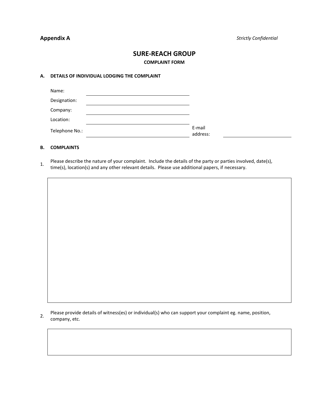### **SURE-REACH GROUP**

**COMPLAINT FORM**

#### **A. DETAILS OF INDIVIDUAL LODGING THE COMPLAINT**

| Name:          |                    |
|----------------|--------------------|
| Designation:   |                    |
| Company:       |                    |
| Location:      |                    |
| Telephone No.: | E-mail<br>address: |

#### **B. COMPLAINTS**

Please describe the nature of your complaint. Include the details of the party or parties involved, date(s), time(s), location(s) and any other relevant details. Please use additional papers, if necessary.